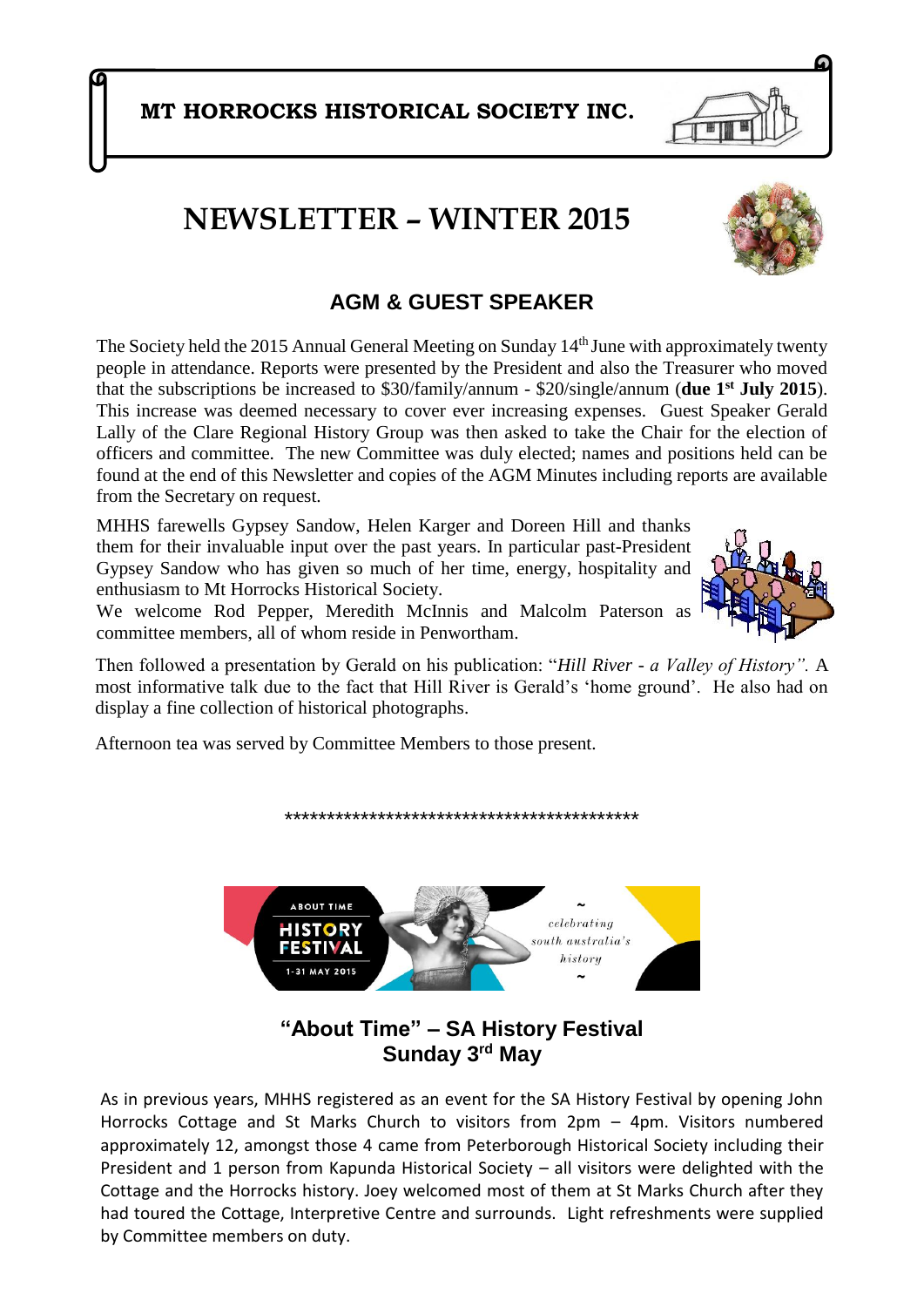**MT HORROCKS HISTORICAL SOCIETY INC.**

# **NEWSLETTER – WINTER 2015**

### 1. **AGM & GUEST SPEAKER**

The Society held the 2015 Annual General Meeting on Sunday  $14<sup>th</sup>$  June with approximately twenty people in attendance. Reports were presented by the President and also the Treasurer who moved that the subscriptions be increased to \$30/family/annum - \$20/single/annum (**due 1st July 2015**). This increase was deemed necessary to cover ever increasing expenses. Guest Speaker Gerald Lally of the Clare Regional History Group was then asked to take the Chair for the election of officers and committee. The new Committee was duly elected; names and positions held can be found at the end of this Newsletter and copies of the AGM Minutes including reports are available from the Secretary on request.

MHHS farewells Gypsey Sandow, Helen Karger and Doreen Hill and thanks them for their invaluable input over the past years. In particular past-President Gypsey Sandow who has given so much of her time, energy, hospitality and enthusiasm to Mt Horrocks Historical Society.

We welcome Rod Pepper, Meredith McInnis and Malcolm Paterson as committee members, all of whom reside in Penwortham.

Then followed a presentation by Gerald on his publication: "*Hill River - a Valley of History".* A most informative talk due to the fact that Hill River is Gerald's 'home ground'. He also had on display a fine collection of historical photographs.

Afternoon tea was served by Committee Members to those present.

**"About Time" – SA History Festival Sunday 3rd May**

As in previous years, MHHS registered as an event for the SA History Festival by opening John Horrocks Cottage and St Marks Church to visitors from 2pm – 4pm. Visitors numbered approximately 12, amongst those 4 came from Peterborough Historical Society including their President and 1 person from Kapunda Historical Society – all visitors were delighted with the Cottage and the Horrocks history. Joey welcomed most of them at St Marks Church after they had toured the Cottage, Interpretive Centre and surrounds. Light refreshments were supplied by Committee members on duty.



\*\*\*\*\*\*\*\*\*\*\*\*\*\*\*\*\*\*\*\*\*\*\*\*\*\*\*\*\*\*\*\*\*\*\*\*\*\*\*\*\*\*



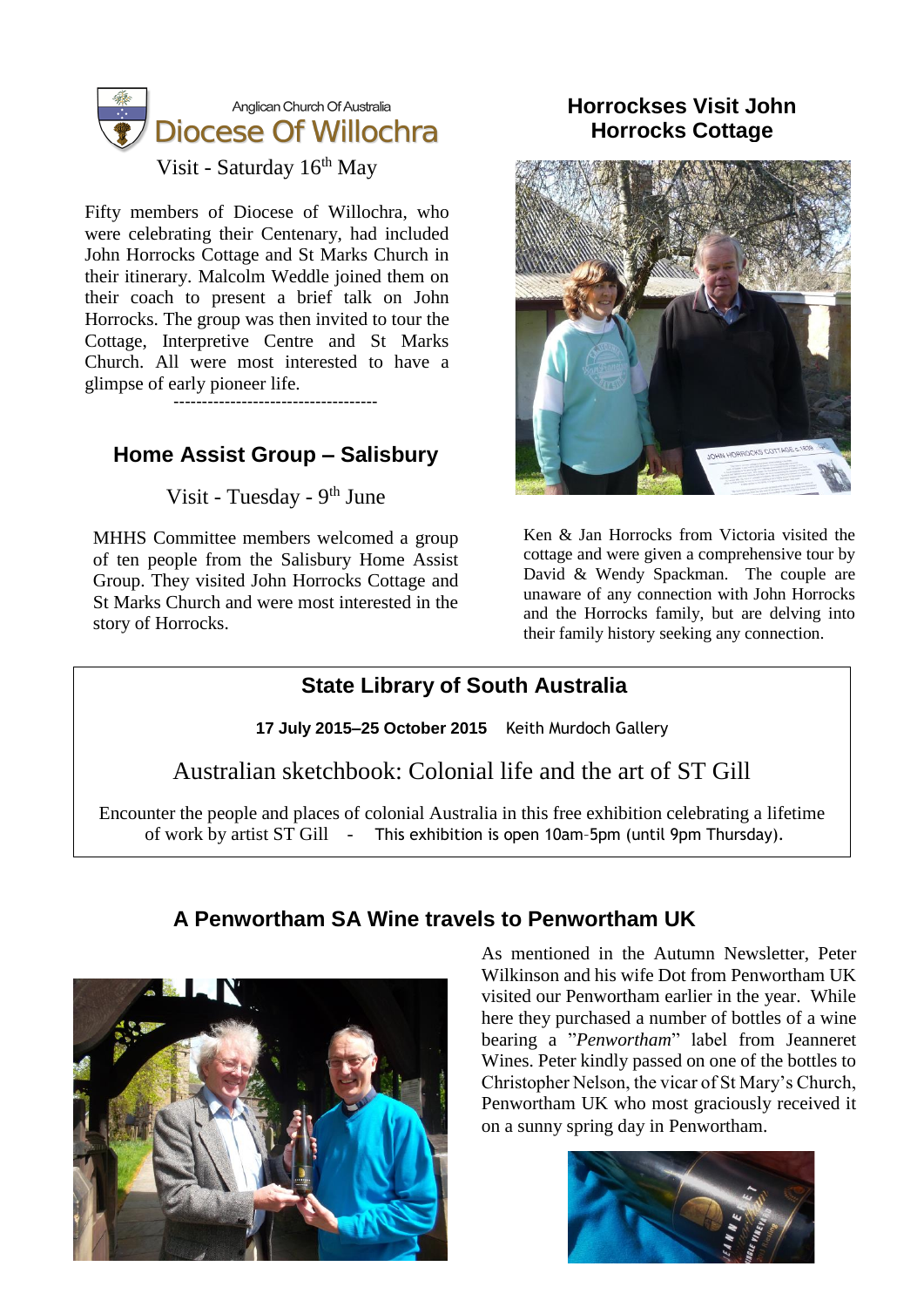

Visit - Saturday 16<sup>th</sup> May

Fifty members of Diocese of Willochra, who were celebrating their Centenary, had included John Horrocks Cottage and St Marks Church in their itinerary. Malcolm Weddle joined them on their coach to present a brief talk on John Horrocks. The group was then invited to tour the Cottage, Interpretive Centre and St Marks Church. All were most interested to have a glimpse of early pioneer life.

------------------------------------

## **Home Assist Group – Salisbury**

Visit - Tuesday - 9<sup>th</sup> June

MHHS Committee members welcomed a group of ten people from the Salisbury Home Assist Group. They visited John Horrocks Cottage and St Marks Church and were most interested in the story of Horrocks.

#### **Horrockses Visit John Horrocks Cottage**



Ken & Jan Horrocks from Victoria visited the cottage and were given a comprehensive tour by David & Wendy Spackman. The couple are unaware of any connection with John Horrocks and the Horrocks family, but are delving into their family history seeking any connection.

## **State Library of South Australia**

**17 July 2015–25 October 2015** Keith Murdoch Gallery

Australian sketchbook: Colonial life and the art of ST Gill

Encounter the people and places of colonial Australia in this free exhibition celebrating a lifetime of work by artist ST Gill - This exhibition is open 10am-5pm (until 9pm Thursday).

## **A Penwortham SA Wine travels to Penwortham UK**



As mentioned in the Autumn Newsletter, Peter Wilkinson and his wife Dot from Penwortham UK visited our Penwortham earlier in the year. While here they purchased a number of bottles of a wine bearing a "*Penwortham*" label from Jeanneret Wines. Peter kindly passed on one of the bottles to Christopher Nelson, the vicar of St Mary's Church, Penwortham UK who most graciously received it on a sunny spring day in Penwortham.

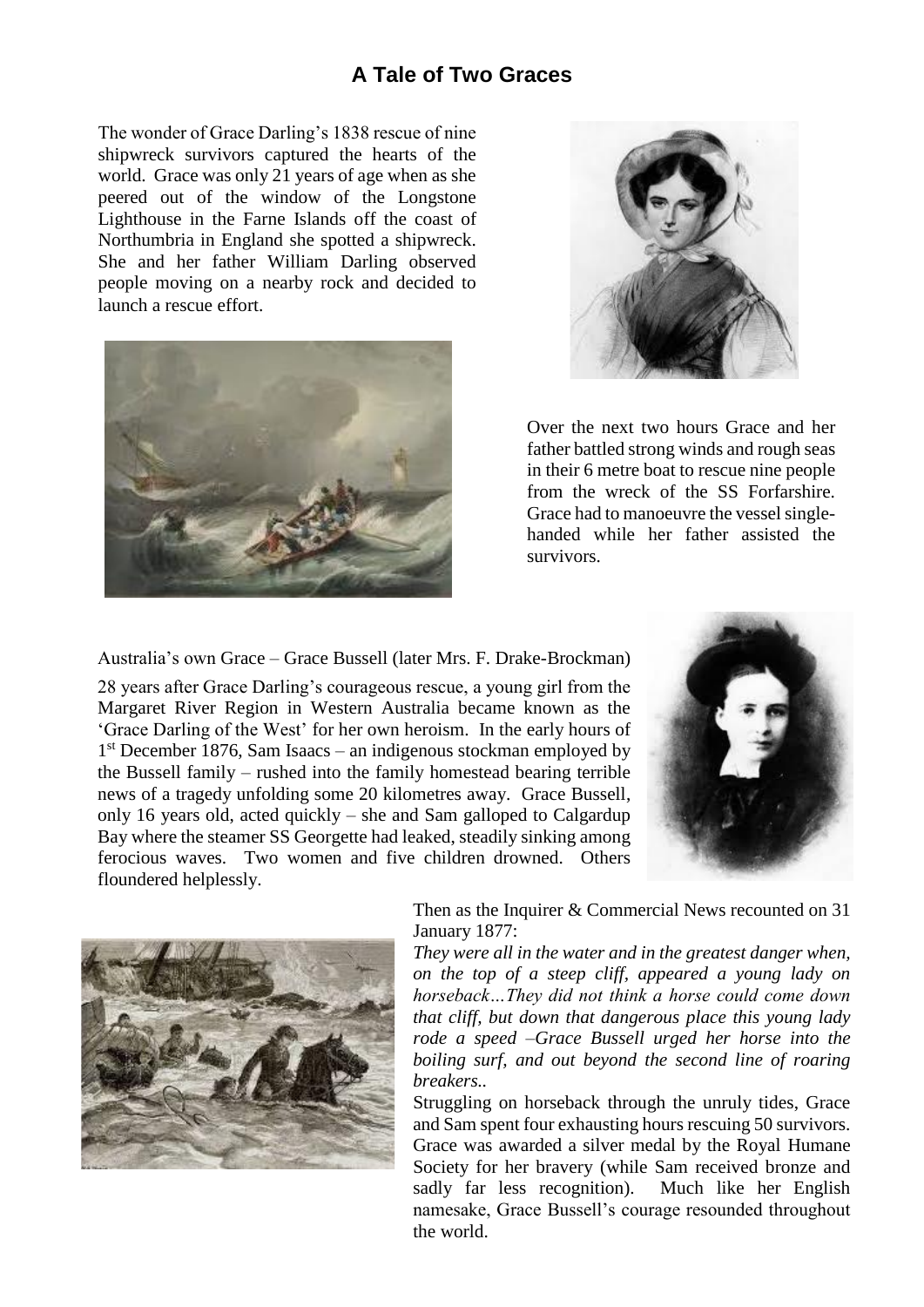#### **A Tale of Two Graces**

The wonder of Grace Darling's 1838 rescue of nine shipwreck survivors captured the hearts of the world. Grace was only 21 years of age when as she peered out of the window of the Longstone Lighthouse in the Farne Islands off the coast of Northumbria in England she spotted a shipwreck. She and her father William Darling observed people moving on a nearby rock and decided to launch a rescue effort.





Over the next two hours Grace and her father battled strong winds and rough seas in their 6 metre boat to rescue nine people from the wreck of the SS Forfarshire. Grace had to manoeuvre the vessel singlehanded while her father assisted the survivors.

Australia's own Grace – Grace Bussell (later Mrs. F. Drake-Brockman)

28 years after Grace Darling's courageous rescue, a young girl from the Margaret River Region in Western Australia became known as the 'Grace Darling of the West' for her own heroism. In the early hours of 1 st December 1876, Sam Isaacs – an indigenous stockman employed by the Bussell family – rushed into the family homestead bearing terrible news of a tragedy unfolding some 20 kilometres away. Grace Bussell, only 16 years old, acted quickly – she and Sam galloped to Calgardup Bay where the steamer SS Georgette had leaked, steadily sinking among ferocious waves. Two women and five children drowned. Others floundered helplessly.





Then as the Inquirer & Commercial News recounted on 31 January 1877:

*They were all in the water and in the greatest danger when, on the top of a steep cliff, appeared a young lady on horseback…They did not think a horse could come down that cliff, but down that dangerous place this young lady rode a speed –Grace Bussell urged her horse into the boiling surf, and out beyond the second line of roaring breakers..*

Struggling on horseback through the unruly tides, Grace and Sam spent four exhausting hours rescuing 50 survivors. Grace was awarded a silver medal by the Royal Humane Society for her bravery (while Sam received bronze and sadly far less recognition). Much like her English namesake, Grace Bussell's courage resounded throughout the world.